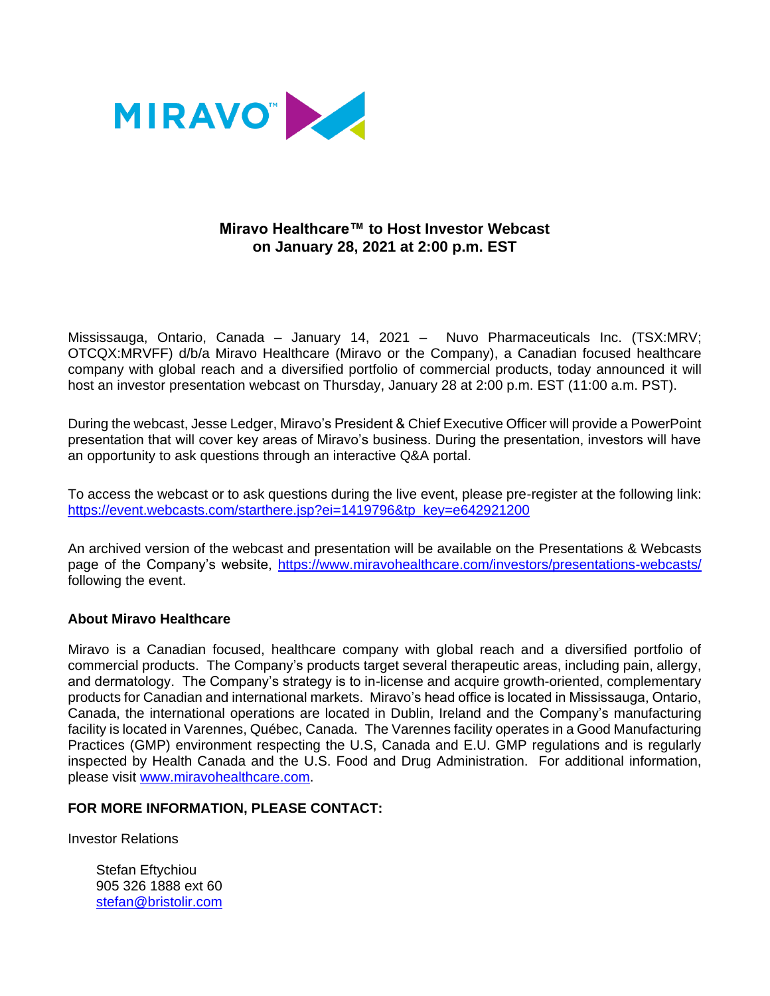

## **Miravo Healthcare™ to Host Investor Webcast on January 28, 2021 at 2:00 p.m. EST**

Mississauga, Ontario, Canada – January 14, 2021 – Nuvo Pharmaceuticals Inc. (TSX:MRV; OTCQX:MRVFF) d/b/a Miravo Healthcare (Miravo or the Company), a Canadian focused healthcare company with global reach and a diversified portfolio of commercial products, today announced it will host an investor presentation webcast on Thursday, January 28 at 2:00 p.m. EST (11:00 a.m. PST).

During the webcast, Jesse Ledger, Miravo's President & Chief Executive Officer will provide a PowerPoint presentation that will cover key areas of Miravo's business. During the presentation, investors will have an opportunity to ask questions through an interactive Q&A portal.

To access the webcast or to ask questions during the live event, please pre-register at the following link: [https://event.webcasts.com/starthere.jsp?ei=1419796&tp\\_key=e642921200](https://event.webcasts.com/starthere.jsp?ei=1419796&tp_key=e642921200)

An archived version of the webcast and presentation will be available on the Presentations & Webcasts page of the Company's website,<https://www.miravohealthcare.com/investors/presentations-webcasts/> following the event.

## **About Miravo Healthcare**

Miravo is a Canadian focused, healthcare company with global reach and a diversified portfolio of commercial products. The Company's products target several therapeutic areas, including pain, allergy, and dermatology. The Company's strategy is to in-license and acquire growth-oriented, complementary products for Canadian and international markets. Miravo's head office is located in Mississauga, Ontario, Canada, the international operations are located in Dublin, Ireland and the Company's manufacturing facility is located in Varennes, Québec, Canada. The Varennes facility operates in a Good Manufacturing Practices (GMP) environment respecting the U.S, Canada and E.U. GMP regulations and is regularly inspected by Health Canada and the U.S. Food and Drug Administration. For additional information, please visit [www.miravohealthcare.com.](http://www.miravohealthcare.com/)

## **FOR MORE INFORMATION, PLEASE CONTACT:**

Investor Relations

Stefan Eftychiou 905 326 1888 ext 60 [stefan@bristolir.com](mailto:stefan@bristolir.com)